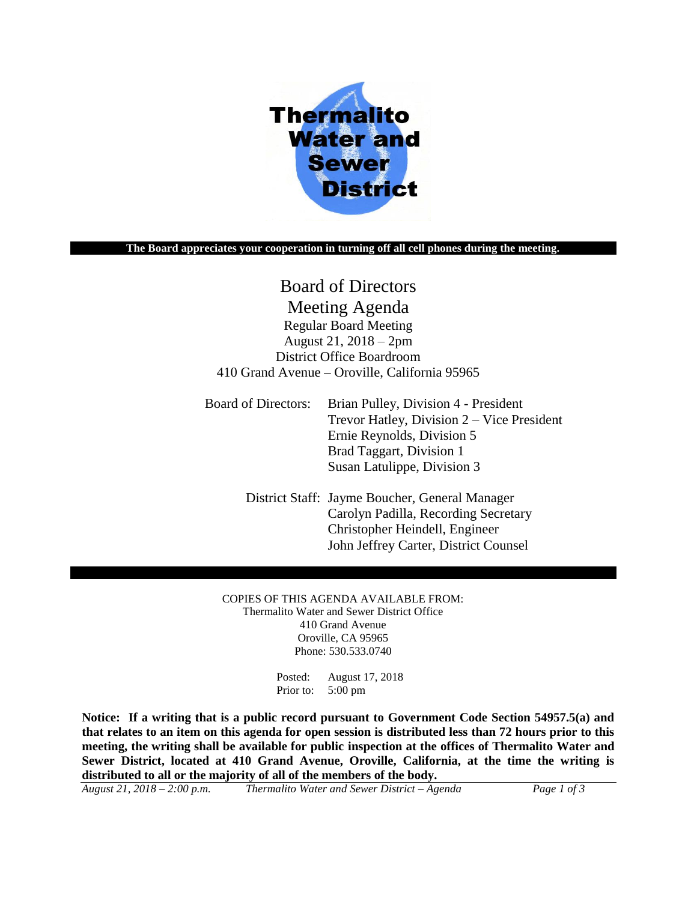

#### **The Board appreciates your cooperation in turning off all cell phones during the meeting.**

# Board of Directors Meeting Agenda

Regular Board Meeting August 21, 2018 – 2pm District Office Boardroom 410 Grand Avenue – Oroville, California 95965

Board of Directors: Brian Pulley, Division 4 - President Trevor Hatley, Division 2 – Vice President Ernie Reynolds, Division 5 Brad Taggart, Division 1 Susan Latulippe, Division 3

> District Staff: Jayme Boucher, General Manager Carolyn Padilla, Recording Secretary Christopher Heindell, Engineer John Jeffrey Carter, District Counsel

COPIES OF THIS AGENDA AVAILABLE FROM: Thermalito Water and Sewer District Office 410 Grand Avenue Oroville, CA 95965 Phone: 530.533.0740

> Posted: August 17, 2018 Prior to: 5:00 pm

**Notice: If a writing that is a public record pursuant to Government Code Section 54957.5(a) and that relates to an item on this agenda for open session is distributed less than 72 hours prior to this meeting, the writing shall be available for public inspection at the offices of Thermalito Water and Sewer District, located at 410 Grand Avenue, Oroville, California, at the time the writing is distributed to all or the majority of all of the members of the body.**

*August 21, 2018 – 2:00 p.m. Thermalito Water and Sewer District – Agenda Page 1 of 3*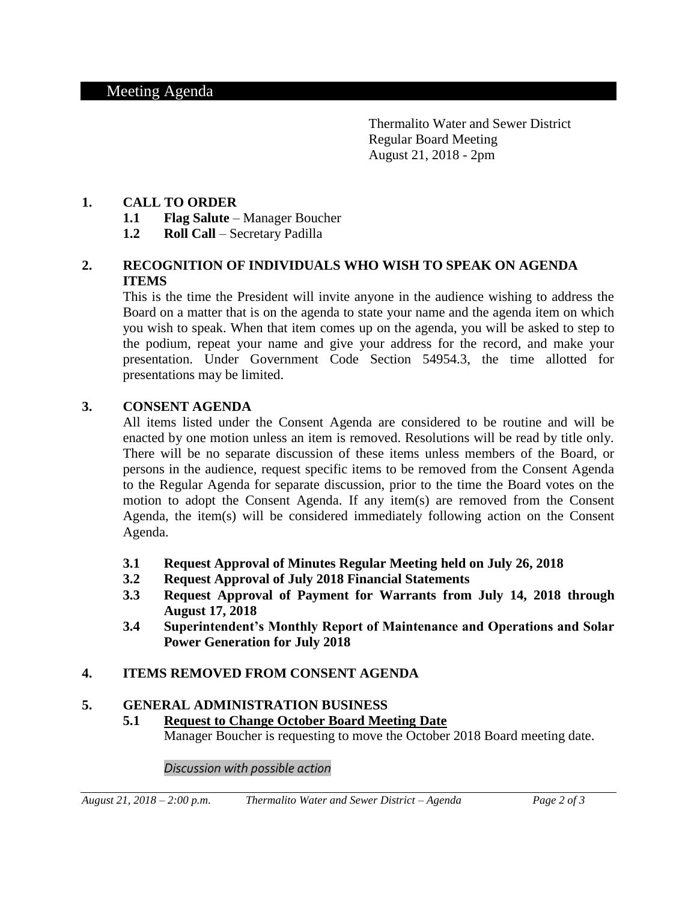Thermalito Water and Sewer District Regular Board Meeting August 21, 2018 - 2pm

#### **1. CALL TO ORDER**

- **1.1 Flag Salute** Manager Boucher
- **1.2 Roll Call** Secretary Padilla

# **2. RECOGNITION OF INDIVIDUALS WHO WISH TO SPEAK ON AGENDA ITEMS**

This is the time the President will invite anyone in the audience wishing to address the Board on a matter that is on the agenda to state your name and the agenda item on which you wish to speak. When that item comes up on the agenda, you will be asked to step to the podium, repeat your name and give your address for the record, and make your presentation. Under Government Code Section 54954.3, the time allotted for presentations may be limited.

#### **3. CONSENT AGENDA**

All items listed under the Consent Agenda are considered to be routine and will be enacted by one motion unless an item is removed. Resolutions will be read by title only. There will be no separate discussion of these items unless members of the Board, or persons in the audience, request specific items to be removed from the Consent Agenda to the Regular Agenda for separate discussion, prior to the time the Board votes on the motion to adopt the Consent Agenda. If any item(s) are removed from the Consent Agenda, the item(s) will be considered immediately following action on the Consent Agenda.

- **3.1 Request Approval of Minutes Regular Meeting held on July 26, 2018**
- **3.2 Request Approval of July 2018 Financial Statements**
- **3.3 Request Approval of Payment for Warrants from July 14, 2018 through August 17, 2018**
- **3.4 Superintendent's Monthly Report of Maintenance and Operations and Solar Power Generation for July 2018**

## **4. ITEMS REMOVED FROM CONSENT AGENDA**

#### **5. GENERAL ADMINISTRATION BUSINESS**

**5.1 Request to Change October Board Meeting Date** Manager Boucher is requesting to move the October 2018 Board meeting date.

*Discussion with possible action*